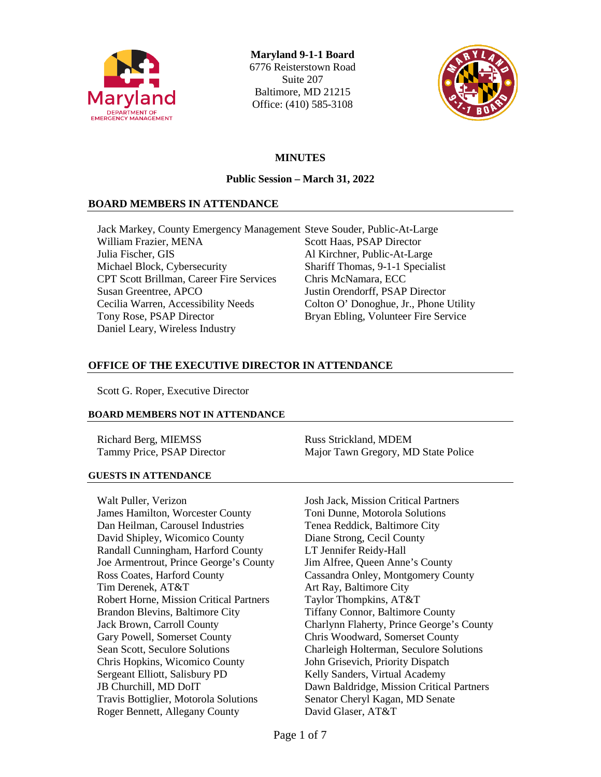

**Maryland 9-1-1 Board** 6776 Reisterstown Road Suite 207 Baltimore, MD 21215 Office: (410) 585-3108



# **MINUTES**

### **Public Session – March 31, 2022**

### **BOARD MEMBERS IN ATTENDANCE**

Jack Markey, County Emergency Management Steve Souder, Public-At-Large William Frazier, MENA Scott Haas, PSAP Director Julia Fischer, GIS Al Kirchner, Public-At-Large Michael Block, Cybersecurity Shariff Thomas, 9-1-1 Specialist CPT Scott Brillman, Career Fire Services Chris McNamara, ECC Susan Greentree, APCO Justin Orendorff, PSAP Director Cecilia Warren, Accessibility Needs Colton O' Donoghue, Jr., Phone Utility Tony Rose, PSAP Director Bryan Ebling, Volunteer Fire Service Daniel Leary, Wireless Industry

### **OFFICE OF THE EXECUTIVE DIRECTOR IN ATTENDANCE**

Scott G. Roper, Executive Director

#### **BOARD MEMBERS NOT IN ATTENDANCE**

Richard Berg, MIEMSS Russ Strickland, MDEM

Tammy Price, PSAP Director Major Tawn Gregory, MD State Police

### **GUESTS IN ATTENDANCE**

Walt Puller, Verizon **International Solution** Josh Jack, Mission Critical Partners James Hamilton, Worcester County Toni Dunne, Motorola Solutions Dan Heilman, Carousel Industries Tenea Reddick, Baltimore City David Shipley, Wicomico County Diane Strong, Cecil County Randall Cunningham, Harford County LT Jennifer Reidy-Hall Joe Armentrout, Prince George's County Jim Alfree, Queen Anne's County Ross Coates, Harford County Cassandra Onley, Montgomery County Tim Derenek, AT&T Art Ray, Baltimore City Robert Horne, Mission Critical Partners Taylor Thompkins, AT&T Brandon Blevins, Baltimore City Tiffany Connor, Baltimore County Gary Powell, Somerset County Chris Woodward, Somerset County Chris Hopkins, Wicomico County John Grisevich, Priority Dispatch Sergeant Elliott, Salisbury PD Kelly Sanders, Virtual Academy Travis Bottiglier, Motorola Solutions Senator Cheryl Kagan, MD Senate Roger Bennett, Allegany County David Glaser, AT&T

Jack Brown, Carroll County Charlynn Flaherty, Prince George's County Sean Scott, Seculore Solutions Charleigh Holterman, Seculore Solutions JB Churchill, MD DoIT Dawn Baldridge, Mission Critical Partners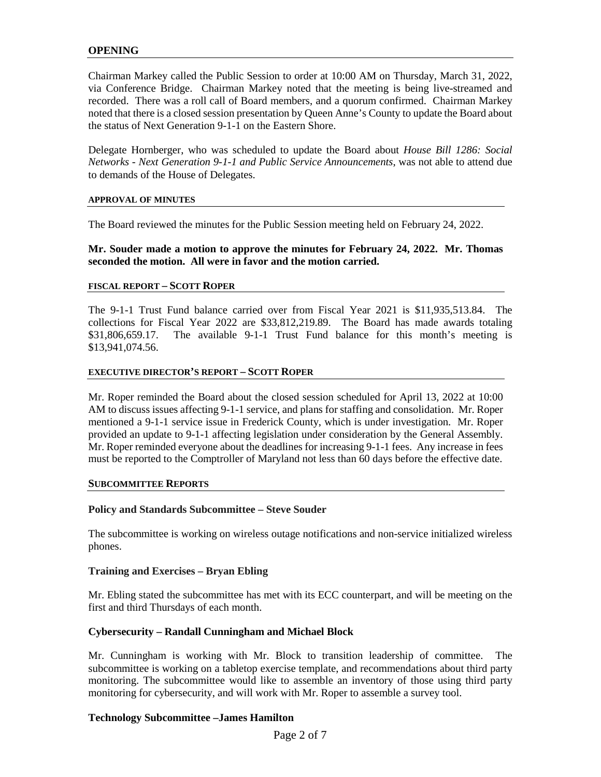### **OPENING**

Chairman Markey called the Public Session to order at 10:00 AM on Thursday, March 31, 2022, via Conference Bridge. Chairman Markey noted that the meeting is being live-streamed and recorded. There was a roll call of Board members, and a quorum confirmed. Chairman Markey noted that there is a closed session presentation by Queen Anne's County to update the Board about the status of Next Generation 9-1-1 on the Eastern Shore.

Delegate Hornberger, who was scheduled to update the Board about *House Bill 1286: Social Networks - Next Generation 9-1-1 and Public Service Announcements*, was not able to attend due to demands of the House of Delegates.

#### **APPROVAL OF MINUTES**

The Board reviewed the minutes for the Public Session meeting held on February 24, 2022.

#### **Mr. Souder made a motion to approve the minutes for February 24, 2022. Mr. Thomas seconded the motion. All were in favor and the motion carried.**

#### **FISCAL REPORT – SCOTT ROPER**

The 9-1-1 Trust Fund balance carried over from Fiscal Year 2021 is \$11,935,513.84. The collections for Fiscal Year 2022 are \$33,812,219.89. The Board has made awards totaling \$31,806,659.17. The available 9-1-1 Trust Fund balance for this month's meeting is \$13,941,074.56.

#### **EXECUTIVE DIRECTOR'S REPORT – SCOTT ROPER**

Mr. Roper reminded the Board about the closed session scheduled for April 13, 2022 at 10:00 AM to discuss issues affecting 9-1-1 service, and plans for staffing and consolidation. Mr. Roper mentioned a 9-1-1 service issue in Frederick County, which is under investigation. Mr. Roper provided an update to 9-1-1 affecting legislation under consideration by the General Assembly. Mr. Roper reminded everyone about the deadlines for increasing 9-1-1 fees. Any increase in fees must be reported to the Comptroller of Maryland not less than 60 days before the effective date.

#### **SUBCOMMITTEE REPORTS**

#### **Policy and Standards Subcommittee – Steve Souder**

The subcommittee is working on wireless outage notifications and non-service initialized wireless phones.

#### **Training and Exercises – Bryan Ebling**

Mr. Ebling stated the subcommittee has met with its ECC counterpart, and will be meeting on the first and third Thursdays of each month.

#### **Cybersecurity – Randall Cunningham and Michael Block**

Mr. Cunningham is working with Mr. Block to transition leadership of committee. The subcommittee is working on a tabletop exercise template, and recommendations about third party monitoring. The subcommittee would like to assemble an inventory of those using third party monitoring for cybersecurity, and will work with Mr. Roper to assemble a survey tool.

#### **Technology Subcommittee –James Hamilton**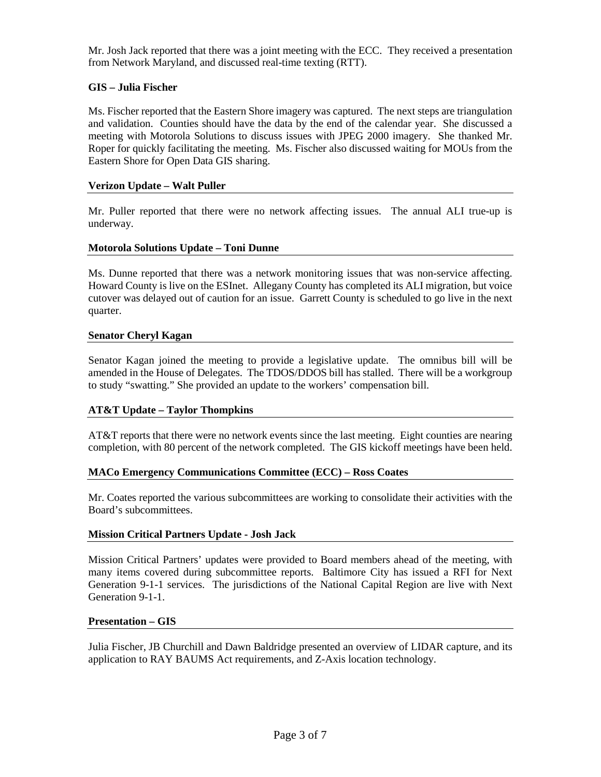Mr. Josh Jack reported that there was a joint meeting with the ECC. They received a presentation from Network Maryland, and discussed real-time texting (RTT).

# **GIS – Julia Fischer**

Ms. Fischer reported that the Eastern Shore imagery was captured. The next steps are triangulation and validation. Counties should have the data by the end of the calendar year. She discussed a meeting with Motorola Solutions to discuss issues with JPEG 2000 imagery. She thanked Mr. Roper for quickly facilitating the meeting. Ms. Fischer also discussed waiting for MOUs from the Eastern Shore for Open Data GIS sharing.

### **Verizon Update – Walt Puller**

Mr. Puller reported that there were no network affecting issues. The annual ALI true-up is underway.

### **Motorola Solutions Update – Toni Dunne**

Ms. Dunne reported that there was a network monitoring issues that was non-service affecting. Howard County is live on the ESInet. Allegany County has completed its ALI migration, but voice cutover was delayed out of caution for an issue. Garrett County is scheduled to go live in the next quarter.

### **Senator Cheryl Kagan**

Senator Kagan joined the meeting to provide a legislative update. The omnibus bill will be amended in the House of Delegates. The TDOS/DDOS bill has stalled. There will be a workgroup to study "swatting." She provided an update to the workers' compensation bill.

### **AT&T Update – Taylor Thompkins**

AT&T reports that there were no network events since the last meeting. Eight counties are nearing completion, with 80 percent of the network completed. The GIS kickoff meetings have been held.

### **MACo Emergency Communications Committee (ECC) – Ross Coates**

Mr. Coates reported the various subcommittees are working to consolidate their activities with the Board's subcommittees.

#### **Mission Critical Partners Update - Josh Jack**

Mission Critical Partners' updates were provided to Board members ahead of the meeting, with many items covered during subcommittee reports. Baltimore City has issued a RFI for Next Generation 9-1-1 services. The jurisdictions of the National Capital Region are live with Next Generation 9-1-1.

#### **Presentation – GIS**

Julia Fischer, JB Churchill and Dawn Baldridge presented an overview of LIDAR capture, and its application to RAY BAUMS Act requirements, and Z-Axis location technology.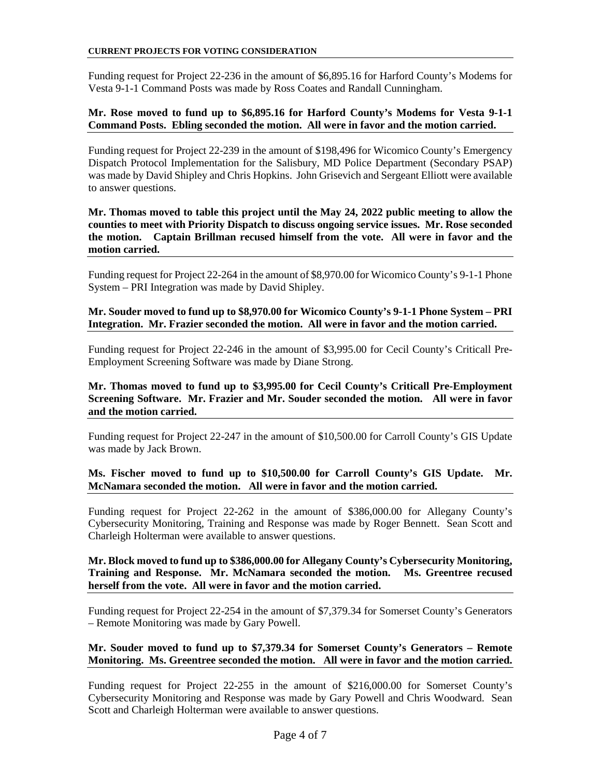Funding request for Project 22-236 in the amount of \$6,895.16 for Harford County's Modems for Vesta 9-1-1 Command Posts was made by Ross Coates and Randall Cunningham.

### **Mr. Rose moved to fund up to \$6,895.16 for Harford County's Modems for Vesta 9-1-1 Command Posts. Ebling seconded the motion. All were in favor and the motion carried.**

Funding request for Project 22-239 in the amount of \$198,496 for Wicomico County's Emergency Dispatch Protocol Implementation for the Salisbury, MD Police Department (Secondary PSAP) was made by David Shipley and Chris Hopkins. John Grisevich and Sergeant Elliott were available to answer questions.

**Mr. Thomas moved to table this project until the May 24, 2022 public meeting to allow the counties to meet with Priority Dispatch to discuss ongoing service issues. Mr. Rose seconded the motion. Captain Brillman recused himself from the vote. All were in favor and the motion carried.** 

Funding request for Project 22-264 in the amount of \$8,970.00 for Wicomico County's 9-1-1 Phone System – PRI Integration was made by David Shipley.

### **Mr. Souder moved to fund up to \$8,970.00 for Wicomico County's 9-1-1 Phone System – PRI Integration. Mr. Frazier seconded the motion. All were in favor and the motion carried.**

Funding request for Project 22-246 in the amount of \$3,995.00 for Cecil County's Criticall Pre-Employment Screening Software was made by Diane Strong.

### **Mr. Thomas moved to fund up to \$3,995.00 for Cecil County's Criticall Pre-Employment Screening Software. Mr. Frazier and Mr. Souder seconded the motion. All were in favor and the motion carried.**

Funding request for Project 22-247 in the amount of \$10,500.00 for Carroll County's GIS Update was made by Jack Brown.

### **Ms. Fischer moved to fund up to \$10,500.00 for Carroll County's GIS Update. Mr. McNamara seconded the motion. All were in favor and the motion carried.**

Funding request for Project 22-262 in the amount of \$386,000.00 for Allegany County's Cybersecurity Monitoring, Training and Response was made by Roger Bennett. Sean Scott and Charleigh Holterman were available to answer questions.

### **Mr. Block moved to fund up to \$386,000.00 for Allegany County's Cybersecurity Monitoring, Training and Response. Mr. McNamara seconded the motion. Ms. Greentree recused herself from the vote. All were in favor and the motion carried.**

Funding request for Project 22-254 in the amount of \$7,379.34 for Somerset County's Generators – Remote Monitoring was made by Gary Powell.

### **Mr. Souder moved to fund up to \$7,379.34 for Somerset County's Generators – Remote Monitoring. Ms. Greentree seconded the motion. All were in favor and the motion carried.**

Funding request for Project 22-255 in the amount of \$216,000.00 for Somerset County's Cybersecurity Monitoring and Response was made by Gary Powell and Chris Woodward. Sean Scott and Charleigh Holterman were available to answer questions.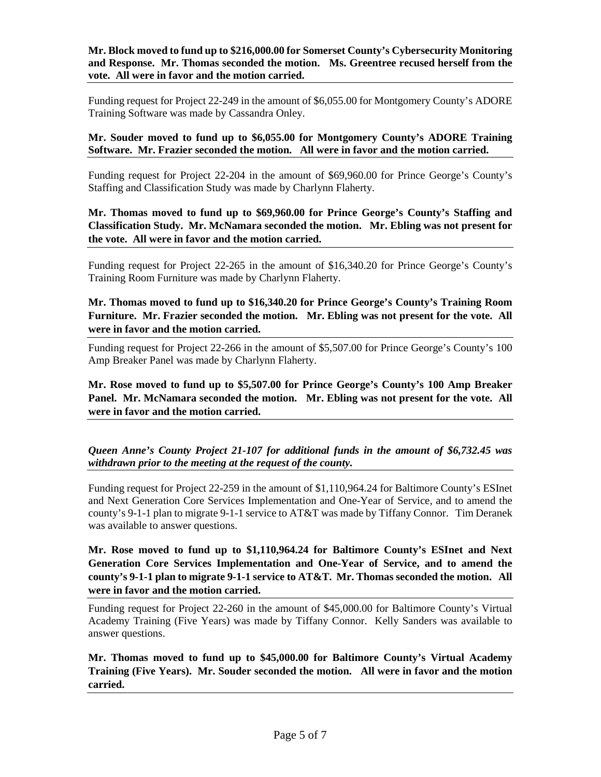**Mr. Block moved to fund up to \$216,000.00 for Somerset County's Cybersecurity Monitoring and Response. Mr. Thomas seconded the motion. Ms. Greentree recused herself from the vote. All were in favor and the motion carried.**

Funding request for Project 22-249 in the amount of \$6,055.00 for Montgomery County's ADORE Training Software was made by Cassandra Onley.

**Mr. Souder moved to fund up to \$6,055.00 for Montgomery County's ADORE Training Software. Mr. Frazier seconded the motion. All were in favor and the motion carried.**

Funding request for Project 22-204 in the amount of \$69,960.00 for Prince George's County's Staffing and Classification Study was made by Charlynn Flaherty.

**Mr. Thomas moved to fund up to \$69,960.00 for Prince George's County's Staffing and Classification Study. Mr. McNamara seconded the motion. Mr. Ebling was not present for the vote. All were in favor and the motion carried.**

Funding request for Project 22-265 in the amount of \$16,340.20 for Prince George's County's Training Room Furniture was made by Charlynn Flaherty.

**Mr. Thomas moved to fund up to \$16,340.20 for Prince George's County's Training Room Furniture. Mr. Frazier seconded the motion. Mr. Ebling was not present for the vote. All were in favor and the motion carried.**

Funding request for Project 22-266 in the amount of \$5,507.00 for Prince George's County's 100 Amp Breaker Panel was made by Charlynn Flaherty.

**Mr. Rose moved to fund up to \$5,507.00 for Prince George's County's 100 Amp Breaker Panel. Mr. McNamara seconded the motion. Mr. Ebling was not present for the vote. All were in favor and the motion carried.**

*Queen Anne's County Project 21-107 for additional funds in the amount of \$6,732.45 was withdrawn prior to the meeting at the request of the county.*

Funding request for Project 22-259 in the amount of \$1,110,964.24 for Baltimore County's ESInet and Next Generation Core Services Implementation and One-Year of Service, and to amend the county's 9-1-1 plan to migrate 9-1-1 service to AT&T was made by Tiffany Connor. Tim Deranek was available to answer questions.

**Mr. Rose moved to fund up to \$1,110,964.24 for Baltimore County's ESInet and Next Generation Core Services Implementation and One-Year of Service, and to amend the county's 9-1-1 plan to migrate 9-1-1 service to AT&T. Mr. Thomas seconded the motion. All were in favor and the motion carried.**

Funding request for Project 22-260 in the amount of \$45,000.00 for Baltimore County's Virtual Academy Training (Five Years) was made by Tiffany Connor. Kelly Sanders was available to answer questions.

**Mr. Thomas moved to fund up to \$45,000.00 for Baltimore County's Virtual Academy Training (Five Years). Mr. Souder seconded the motion. All were in favor and the motion carried.**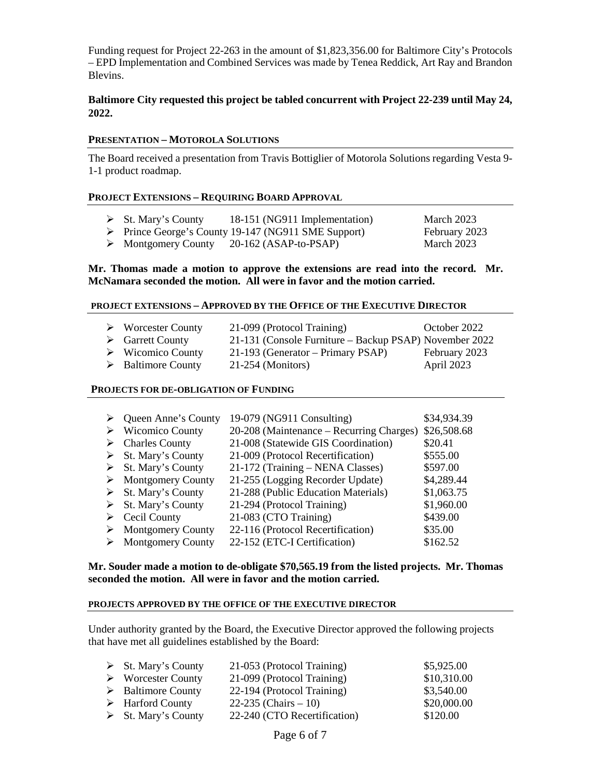Funding request for Project 22-263 in the amount of \$1,823,356.00 for Baltimore City's Protocols – EPD Implementation and Combined Services was made by Tenea Reddick, Art Ray and Brandon Blevins.

# **Baltimore City requested this project be tabled concurrent with Project 22-239 until May 24, 2022.**

#### **PRESENTATION – MOTOROLA SOLUTIONS**

The Board received a presentation from Travis Bottiglier of Motorola Solutions regarding Vesta 9- 1-1 product roadmap.

#### **PROJECT EXTENSIONS – REQUIRING BOARD APPROVAL**

- $\triangleright$  St. Mary's County 18-151 (NG911 Implementation) March 2023
- → Prince George's County 19-147 (NG911 SME Support) February 2023<br>
→ Montgomery County 20-162 (ASAP-to-PSAP) March 2023
- $\triangleright$  Montgomery County 20-162 (ASAP-to-PSAP)

#### **Mr. Thomas made a motion to approve the extensions are read into the record. Mr. McNamara seconded the motion. All were in favor and the motion carried.**

#### **PROJECT EXTENSIONS – APPROVED BY THE OFFICE OF THE EXECUTIVE DIRECTOR**

| $\triangleright$ Worcester County | 21-099 (Protocol Training)                             | October 2022  |
|-----------------------------------|--------------------------------------------------------|---------------|
| $\triangleright$ Garrett County   | 21-131 (Console Furniture – Backup PSAP) November 2022 |               |
| $\triangleright$ Wicomico County  | 21-193 (Generator – Primary PSAP)                      | February 2023 |
| $\triangleright$ Baltimore County | $21-254$ (Monitors)                                    | April 2023    |

#### **PROJECTS FOR DE-OBLIGATION OF FUNDING**

| ➤ | Queen Anne's County                | 19-079 (NG911 Consulting)                | \$34,934.39 |
|---|------------------------------------|------------------------------------------|-------------|
| ➤ | <b>Wicomico County</b>             | 20-208 (Maintenance – Recurring Charges) | \$26,508.68 |
| ➤ | <b>Charles County</b>              | 21-008 (Statewide GIS Coordination)      | \$20.41     |
|   | $\triangleright$ St. Mary's County | 21-009 (Protocol Recertification)        | \$555.00    |
|   | $\triangleright$ St. Mary's County | 21-172 (Training – NENA Classes)         | \$597.00    |
| ➤ | <b>Montgomery County</b>           | 21-255 (Logging Recorder Update)         | \$4,289.44  |
|   | $\triangleright$ St. Mary's County | 21-288 (Public Education Materials)      | \$1,063.75  |
|   | $\triangleright$ St. Mary's County | 21-294 (Protocol Training)               | \$1,960.00  |
| ➤ | Cecil County                       | 21-083 (CTO Training)                    | \$439.00    |
|   | <b>Montgomery County</b>           | 22-116 (Protocol Recertification)        | \$35.00     |
|   | <b>Montgomery County</b>           | 22-152 (ETC-I Certification)             | \$162.52    |

#### **Mr. Souder made a motion to de-obligate \$70,565.19 from the listed projects. Mr. Thomas seconded the motion. All were in favor and the motion carried.**

#### **PROJECTS APPROVED BY THE OFFICE OF THE EXECUTIVE DIRECTOR**

Under authority granted by the Board, the Executive Director approved the following projects that have met all guidelines established by the Board:

| $\triangleright$ St. Mary's County | 21-053 (Protocol Training)   | \$5,925.00  |
|------------------------------------|------------------------------|-------------|
| $\triangleright$ Worcester County  | 21-099 (Protocol Training)   | \$10,310.00 |
| $\triangleright$ Baltimore County  | 22-194 (Protocol Training)   | \$3,540.00  |
| $\triangleright$ Harford County    | 22-235 (Chairs $-10$ )       | \$20,000.00 |
| $\triangleright$ St. Mary's County | 22-240 (CTO Recertification) | \$120.00    |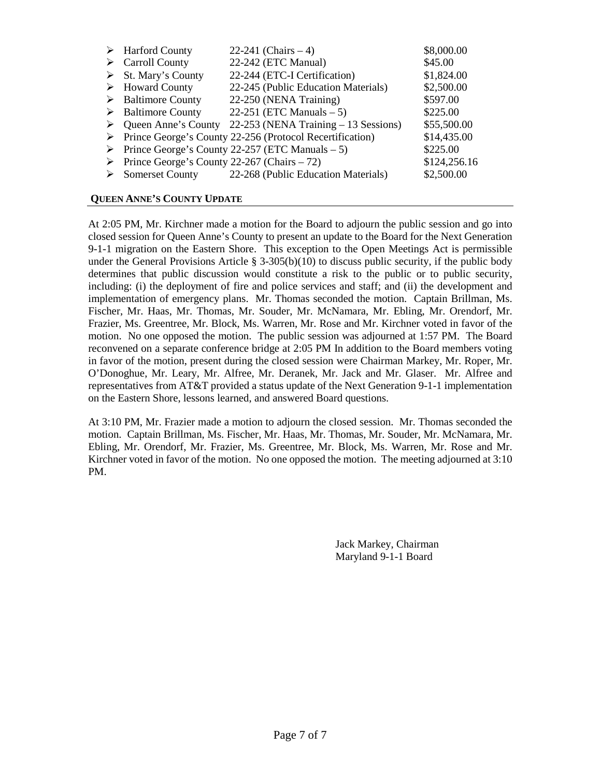|   | $\triangleright$ Harford County                              | 22-241 (Chairs $-4$ )                                            | \$8,000.00   |
|---|--------------------------------------------------------------|------------------------------------------------------------------|--------------|
| ➤ | <b>Carroll County</b>                                        | 22-242 (ETC Manual)                                              | \$45.00      |
|   | $\triangleright$ St. Mary's County                           | 22-244 (ETC-I Certification)                                     | \$1,824.00   |
|   | $\triangleright$ Howard County                               | 22-245 (Public Education Materials)                              | \$2,500.00   |
|   | $\triangleright$ Baltimore County                            | 22-250 (NENA Training)                                           | \$597.00     |
|   | $\triangleright$ Baltimore County                            | 22-251 (ETC Manuals $-5$ )                                       | \$225.00     |
| ➤ |                                                              | Queen Anne's County 22-253 (NENA Training – 13 Sessions)         | \$55,500.00  |
|   |                                                              | > Prince George's County 22-256 (Protocol Recertification)       | \$14,435.00  |
|   |                                                              | $\triangleright$ Prince George's County 22-257 (ETC Manuals – 5) | \$225.00     |
|   | $\triangleright$ Prince George's County 22-267 (Chairs – 72) |                                                                  | \$124,256.16 |
|   |                                                              | Somerset County 22-268 (Public Education Materials)              | \$2,500.00   |
|   |                                                              |                                                                  |              |

# **QUEEN ANNE'S COUNTY UPDATE**

At 2:05 PM, Mr. Kirchner made a motion for the Board to adjourn the public session and go into closed session for Queen Anne's County to present an update to the Board for the Next Generation 9-1-1 migration on the Eastern Shore. This exception to the Open Meetings Act is permissible under the General Provisions Article  $\S$  3-305(b)(10) to discuss public security, if the public body determines that public discussion would constitute a risk to the public or to public security, including: (i) the deployment of fire and police services and staff; and (ii) the development and implementation of emergency plans. Mr. Thomas seconded the motion. Captain Brillman, Ms. Fischer, Mr. Haas, Mr. Thomas, Mr. Souder, Mr. McNamara, Mr. Ebling, Mr. Orendorf, Mr. Frazier, Ms. Greentree, Mr. Block, Ms. Warren, Mr. Rose and Mr. Kirchner voted in favor of the motion. No one opposed the motion. The public session was adjourned at 1:57 PM. The Board reconvened on a separate conference bridge at 2:05 PM In addition to the Board members voting in favor of the motion, present during the closed session were Chairman Markey, Mr. Roper, Mr. O'Donoghue, Mr. Leary, Mr. Alfree, Mr. Deranek, Mr. Jack and Mr. Glaser. Mr. Alfree and representatives from AT&T provided a status update of the Next Generation 9-1-1 implementation on the Eastern Shore, lessons learned, and answered Board questions.

At 3:10 PM, Mr. Frazier made a motion to adjourn the closed session. Mr. Thomas seconded the motion. Captain Brillman, Ms. Fischer, Mr. Haas, Mr. Thomas, Mr. Souder, Mr. McNamara, Mr. Ebling, Mr. Orendorf, Mr. Frazier, Ms. Greentree, Mr. Block, Ms. Warren, Mr. Rose and Mr. Kirchner voted in favor of the motion. No one opposed the motion. The meeting adjourned at 3:10 PM.

> Jack Markey, Chairman Maryland 9-1-1 Board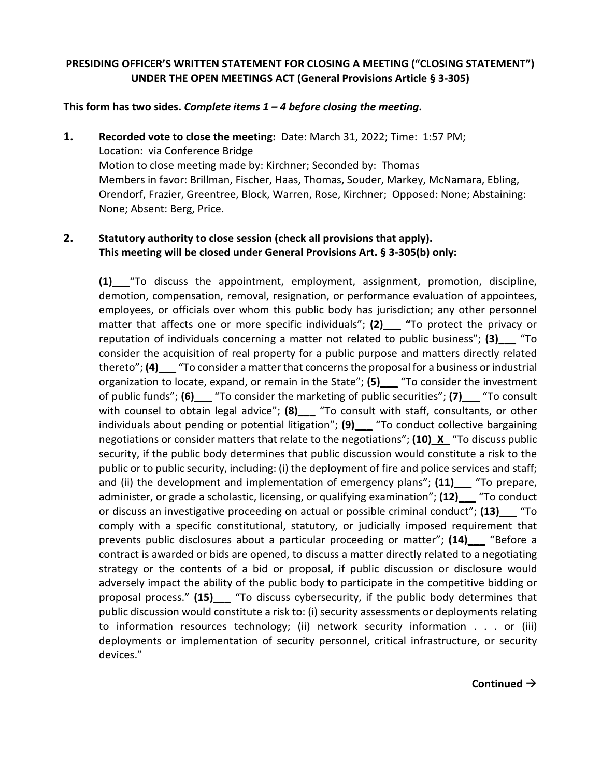# **PRESIDING OFFICER'S WRITTEN STATEMENT FOR CLOSING A MEETING ("CLOSING STATEMENT") UNDER THE OPEN MEETINGS ACT (General Provisions Article § 3-305)**

# **This form has two sides.** *Complete items 1 – 4 before closing the meeting***.**

**1. Recorded vote to close the meeting:** Date: March 31, 2022; Time: 1:57 PM; Location: via Conference Bridge Motion to close meeting made by: Kirchner; Seconded by: Thomas Members in favor: Brillman, Fischer, Haas, Thomas, Souder, Markey, McNamara, Ebling, Orendorf, Frazier, Greentree, Block, Warren, Rose, Kirchner; Opposed: None; Abstaining: None; Absent: Berg, Price.

# **2. Statutory authority to close session (check all provisions that apply). This meeting will be closed under General Provisions Art. § 3-305(b) only:**

**(1)\_\_\_**"To discuss the appointment, employment, assignment, promotion, discipline, demotion, compensation, removal, resignation, or performance evaluation of appointees, employees, or officials over whom this public body has jurisdiction; any other personnel matter that affects one or more specific individuals"; **(2)\_\_\_ "**To protect the privacy or reputation of individuals concerning a matter not related to public business"; **(3)\_\_\_** "To consider the acquisition of real property for a public purpose and matters directly related thereto"; **(4)** To consider a matter that concerns the proposal for a business or industrial organization to locate, expand, or remain in the State"; **(5)\_\_\_** "To consider the investment of public funds"; **(6)\_\_\_** "To consider the marketing of public securities"; **(7)\_\_\_** "To consult with counsel to obtain legal advice"; **(8)\_\_\_** "To consult with staff, consultants, or other individuals about pending or potential litigation"; **(9)\_\_\_** "To conduct collective bargaining negotiations or consider matters that relate to the negotiations"; **(10)\_X\_** "To discuss public security, if the public body determines that public discussion would constitute a risk to the public or to public security, including: (i) the deployment of fire and police services and staff; and (ii) the development and implementation of emergency plans"; **(11)\_\_\_** "To prepare, administer, or grade a scholastic, licensing, or qualifying examination"; **(12)\_\_\_** "To conduct or discuss an investigative proceeding on actual or possible criminal conduct"; **(13)\_\_\_** "To comply with a specific constitutional, statutory, or judicially imposed requirement that prevents public disclosures about a particular proceeding or matter"; **(14)\_\_\_** "Before a contract is awarded or bids are opened, to discuss a matter directly related to a negotiating strategy or the contents of a bid or proposal, if public discussion or disclosure would adversely impact the ability of the public body to participate in the competitive bidding or proposal process." **(15)\_\_\_** "To discuss cybersecurity, if the public body determines that public discussion would constitute a risk to: (i) security assessments or deployments relating to information resources technology; (ii) network security information . . . or (iii) deployments or implementation of security personnel, critical infrastructure, or security devices."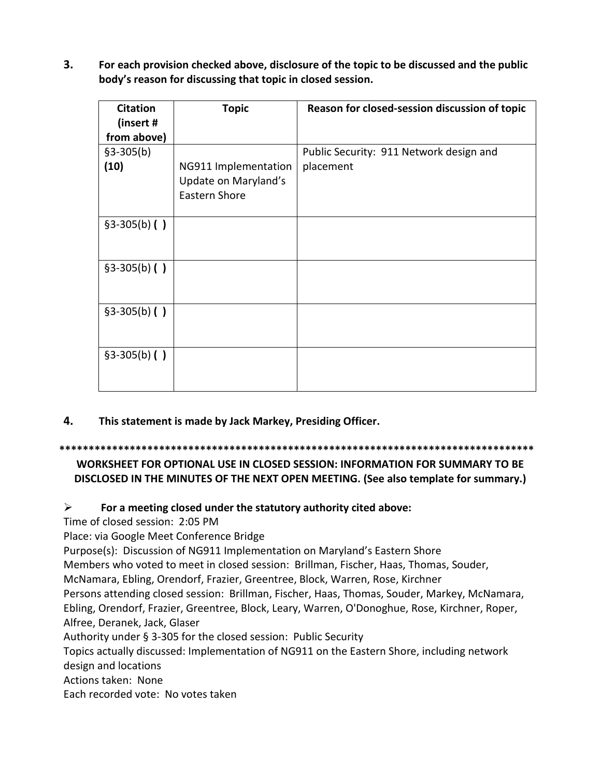**3. For each provision checked above, disclosure of the topic to be discussed and the public body's reason for discussing that topic in closed session.** 

| <b>Citation</b> | <b>Topic</b>         | Reason for closed-session discussion of topic |
|-----------------|----------------------|-----------------------------------------------|
| (insert #       |                      |                                               |
| from above)     |                      |                                               |
| $$3-305(b)$     |                      | Public Security: 911 Network design and       |
| (10)            | NG911 Implementation | placement                                     |
|                 | Update on Maryland's |                                               |
|                 | Eastern Shore        |                                               |
|                 |                      |                                               |
| $§3-305(b)$ ()  |                      |                                               |
|                 |                      |                                               |
|                 |                      |                                               |
| $§3-305(b)$ ()  |                      |                                               |
|                 |                      |                                               |
|                 |                      |                                               |
| $§3-305(b)$ ()  |                      |                                               |
|                 |                      |                                               |
|                 |                      |                                               |
| $§3-305(b)$ ()  |                      |                                               |
|                 |                      |                                               |
|                 |                      |                                               |

**4. This statement is made by Jack Markey, Presiding Officer.**

### **\*\*\*\*\*\*\*\*\*\*\*\*\*\*\*\*\*\*\*\*\*\*\*\*\*\*\*\*\*\*\*\*\*\*\*\*\*\*\*\*\*\*\*\*\*\*\*\*\*\*\*\*\*\*\*\*\*\*\*\*\*\*\*\*\*\*\*\*\*\*\*\*\*\*\*\*\*\*\*\*\***

**WORKSHEET FOR OPTIONAL USE IN CLOSED SESSION: INFORMATION FOR SUMMARY TO BE DISCLOSED IN THE MINUTES OF THE NEXT OPEN MEETING. (See also template for summary.)**

# **For a meeting closed under the statutory authority cited above:**

Time of closed session: 2:05 PM

Place: via Google Meet Conference Bridge

Purpose(s): Discussion of NG911 Implementation on Maryland's Eastern Shore

Members who voted to meet in closed session: Brillman, Fischer, Haas, Thomas, Souder,

McNamara, Ebling, Orendorf, Frazier, Greentree, Block, Warren, Rose, Kirchner

Persons attending closed session: Brillman, Fischer, Haas, Thomas, Souder, Markey, McNamara, Ebling, Orendorf, Frazier, Greentree, Block, Leary, Warren, O'Donoghue, Rose, Kirchner, Roper, Alfree, Deranek, Jack, Glaser

Authority under § 3-305 for the closed session: Public Security

Topics actually discussed: Implementation of NG911 on the Eastern Shore, including network

design and locations

Actions taken: None

Each recorded vote: No votes taken